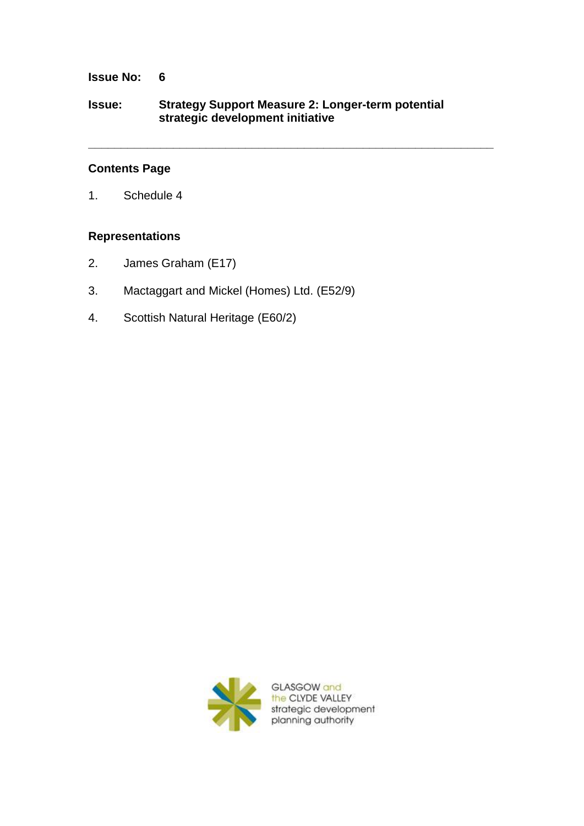## **Issue No: 6**

## **Issue: Strategy Support Measure 2: Longer-term potential strategic development initiative**

**\_\_\_\_\_\_\_\_\_\_\_\_\_\_\_\_\_\_\_\_\_\_\_\_\_\_\_\_\_\_\_\_\_\_\_\_\_\_\_\_\_\_\_\_\_\_\_\_\_\_\_\_\_\_\_\_\_\_\_\_\_\_**

# **Contents Page**

1. Schedule 4

## **Representations**

- 2. James Graham (E17)
- 3. Mactaggart and Mickel (Homes) Ltd. (E52/9)
- 4. Scottish Natural Heritage (E60/2)

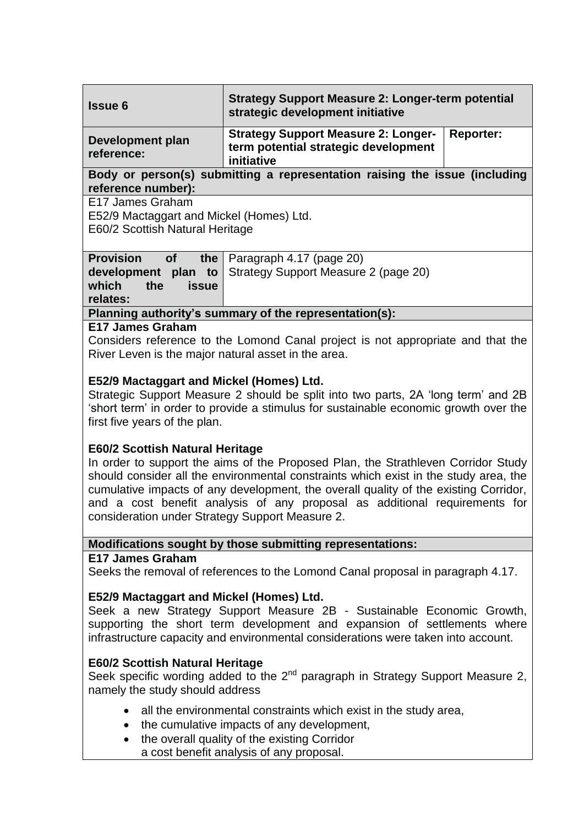| <b>Issue 6</b>                                                                                                                                                                                                                                                                                                                                                                                                                               | <b>Strategy Support Measure 2: Longer-term potential</b><br>strategic development initiative                         |
|----------------------------------------------------------------------------------------------------------------------------------------------------------------------------------------------------------------------------------------------------------------------------------------------------------------------------------------------------------------------------------------------------------------------------------------------|----------------------------------------------------------------------------------------------------------------------|
| <b>Development plan</b><br>reference:                                                                                                                                                                                                                                                                                                                                                                                                        | <b>Strategy Support Measure 2: Longer-</b><br><b>Reporter:</b><br>term potential strategic development<br>initiative |
| Body or person(s) submitting a representation raising the issue (including<br>reference number):                                                                                                                                                                                                                                                                                                                                             |                                                                                                                      |
| E17 James Graham<br>E52/9 Mactaggart and Mickel (Homes) Ltd.<br>E60/2 Scottish Natural Heritage                                                                                                                                                                                                                                                                                                                                              |                                                                                                                      |
| <b>Provision</b><br>the<br><b>of</b><br>development plan to<br>which<br>the<br><b>issue</b><br>relates:                                                                                                                                                                                                                                                                                                                                      | Paragraph 4.17 (page 20)<br>Strategy Support Measure 2 (page 20)                                                     |
| Planning authority's summary of the representation(s):                                                                                                                                                                                                                                                                                                                                                                                       |                                                                                                                      |
| <b>E17 James Graham</b><br>Considers reference to the Lomond Canal project is not appropriate and that the<br>River Leven is the major natural asset in the area.                                                                                                                                                                                                                                                                            |                                                                                                                      |
| E52/9 Mactaggart and Mickel (Homes) Ltd.<br>Strategic Support Measure 2 should be split into two parts, 2A 'long term' and 2B<br>'short term' in order to provide a stimulus for sustainable economic growth over the<br>first five years of the plan.                                                                                                                                                                                       |                                                                                                                      |
| <b>E60/2 Scottish Natural Heritage</b><br>In order to support the aims of the Proposed Plan, the Strathleven Corridor Study<br>should consider all the environmental constraints which exist in the study area, the<br>cumulative impacts of any development, the overall quality of the existing Corridor,<br>and a cost benefit analysis of any proposal as additional requirements for<br>consideration under Strategy Support Measure 2. |                                                                                                                      |
| Modifications sought by those submitting representations:                                                                                                                                                                                                                                                                                                                                                                                    |                                                                                                                      |
| E17 James Graham<br>Seeks the removal of references to the Lomond Canal proposal in paragraph 4.17.                                                                                                                                                                                                                                                                                                                                          |                                                                                                                      |
| E52/9 Mactaggart and Mickel (Homes) Ltd.<br>Seek a new Strategy Support Measure 2B - Sustainable Economic Growth,<br>supporting the short term development and expansion of settlements where<br>infrastructure capacity and environmental considerations were taken into account.                                                                                                                                                           |                                                                                                                      |
| <b>E60/2 Scottish Natural Heritage</b><br>Seek specific wording added to the 2 <sup>nd</sup> paragraph in Strategy Support Measure 2,<br>namely the study should address                                                                                                                                                                                                                                                                     |                                                                                                                      |
| all the environmental constraints which exist in the study area,<br>the cumulative impacts of any development,<br>$\bullet$<br>the overall quality of the existing Corridor<br>a cost benefit analysis of any proposal.                                                                                                                                                                                                                      |                                                                                                                      |